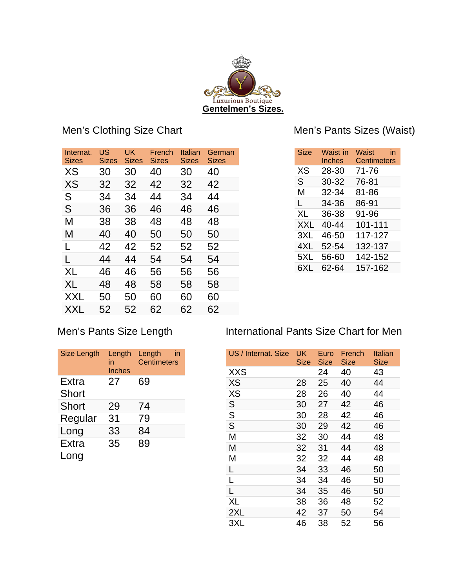

## Men's Clothing Size Chart

| Internat.<br>Sizes | US<br><b>Sizes</b> | UK<br>Sizes | French<br>Sizes | Italian<br><b>Sizes</b> | German<br><b>Sizes</b> |
|--------------------|--------------------|-------------|-----------------|-------------------------|------------------------|
| XS                 | 30                 | 30          | 40              | 30                      | 40                     |
| XS                 | 32                 | 32          | 42              | 32                      | 42                     |
| S                  | 34                 | 34          | 44              | 34                      | 44                     |
| S                  | 36                 | 36          | 46              | 46                      | 46                     |
| М                  | 38                 | 38          | 48              | 48                      | 48                     |
| М                  | 40                 | 40          | 50              | 50                      | 50                     |
| L                  | 42                 | 42          | 52              | 52                      | 52                     |
| L                  | 44                 | 44          | 54              | 54                      | 54                     |
| XL                 | 46                 | 46          | 56              | 56                      | 56                     |
| XL                 | 48                 | 48          | 58              | 58                      | 58                     |
| XXL                | 50                 | 50          | 60              | 60                      | 60                     |
| XXL                | 52                 | 52          | 62              | 62                      | 62                     |
|                    |                    |             |                 |                         |                        |

## Men's Pants Sizes (Waist)

| <b>Size</b> | Waist in<br><b>Inches</b> | Waist<br>in<br><b>Centimeters</b> |
|-------------|---------------------------|-----------------------------------|
| ХS          | 28-30                     | 71-76                             |
| S.          | 30-32                     | 76-81                             |
| м           | 32-34                     | 81-86                             |
| L.          | 34-36                     | 86-91                             |
| XL.         | 36-38                     | 91-96                             |
| XXI         | 40-44                     | 101-111                           |
| 3XL         | 46-50                     | 117-127                           |
| 4XL         | 52-54                     | 132-137                           |
| 5XL         | 56-60                     | 142-152                           |
| 6XL         | 62-64                     | 157-162                           |

### Men's Pants Size Length

| Size Length                  | Length<br>in<br>Inches | Length<br>in<br><b>Centimeters</b> |
|------------------------------|------------------------|------------------------------------|
| <b>Extra</b><br><b>Short</b> | 27                     | 69                                 |
| <b>Short</b>                 | 29                     | 74                                 |
| Regular                      | 31                     | 79                                 |
| Long                         | 33                     | 84                                 |
| <b>Extra</b>                 | 35                     | 89                                 |
| Long                         |                        |                                    |

### International Pants Size Chart for Men

| US / Internat. Size | UK<br>Size | Euro<br>Size | French<br>Size | Italian<br>Size |
|---------------------|------------|--------------|----------------|-----------------|
| <b>XXS</b>          |            | 24           | 40             | 43              |
| <b>XS</b>           | 28         | 25           | 40             | 44              |
| XS                  | 28         | 26           | 40             | 44              |
| S                   | 30         | 27           | 42             | 46              |
| S                   | 30         | 28           | 42             | 46              |
| S                   | 30         | 29           | 42             | 46              |
| M                   | 32         | 30           | 44             | 48              |
| M                   | 32         | 31           | 44             | 48              |
| M                   | 32         | 32           | 44             | 48              |
| L                   | 34         | 33           | 46             | 50              |
| Г                   | 34         | 34           | 46             | 50              |
| L                   | 34         | 35           | 46             | 50              |
| XL                  | 38         | 36           | 48             | 52              |
| 2XL                 | 42         | 37           | 50             | 54              |
| 3XL                 | 46         | 38           | 52             | 56              |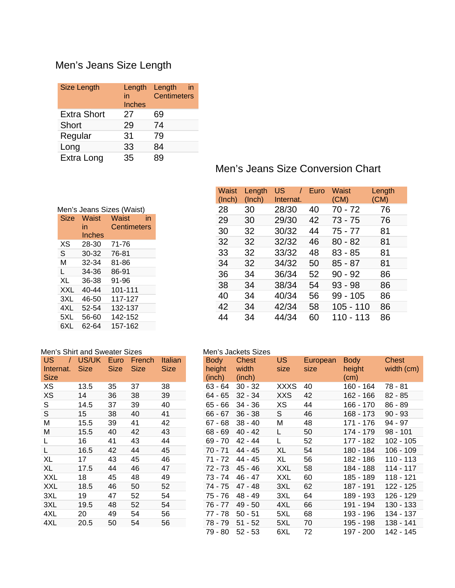# Men's Jeans Size Length

| <b>Size Length</b> | Length<br>in<br><b>Inches</b> | Length<br>in<br><b>Centimeters</b> |
|--------------------|-------------------------------|------------------------------------|
| <b>Extra Short</b> | 27                            | 69                                 |
| <b>Short</b>       | 29                            | 74                                 |
| Regular            | 31                            | 79                                 |
| Long               | 33                            | 84                                 |
| Extra Long         | 35                            | 89                                 |

| Men's Jeans Sizes (Waist) |             |  |  |  |  |  |
|---------------------------|-------------|--|--|--|--|--|
| Waist<br>Size             | Waist<br>in |  |  |  |  |  |
| in                        | Centimeters |  |  |  |  |  |
| Inches                    |             |  |  |  |  |  |
| 28-30                     | 71-76       |  |  |  |  |  |
| 30-32                     | 76-81       |  |  |  |  |  |
| 32-34                     | 81-86       |  |  |  |  |  |
| 34-36                     | 86-91       |  |  |  |  |  |
| 36-38                     | 91-96       |  |  |  |  |  |
| $40 - 44$                 | 101-111     |  |  |  |  |  |
| 46-50                     | 117-127     |  |  |  |  |  |
| 52-54                     | 132-137     |  |  |  |  |  |
| 56-60                     | 142-152     |  |  |  |  |  |
| 62-64                     | 157-162     |  |  |  |  |  |
|                           |             |  |  |  |  |  |

|                          |            | Men's Shirt and Sweater Sizes |               |         |  |  |  |  |
|--------------------------|------------|-------------------------------|---------------|---------|--|--|--|--|
| US<br>$\sqrt{ }$         | US/UK Euro |                               | <b>French</b> | Italian |  |  |  |  |
| Internat.<br><b>Size</b> | Size       | <b>Size</b>                   | <b>Size</b>   | Size    |  |  |  |  |
| XS                       | 13.5       | 35                            | 37            | 38      |  |  |  |  |
| <b>XS</b>                | 14         | 36                            | 38            | 39      |  |  |  |  |
| S                        | 14.5       | 37                            | 39            | 40      |  |  |  |  |
| S                        | 15         | 38                            | 40            | 41      |  |  |  |  |
| М                        | 15.5       | 39                            | 41            | 42      |  |  |  |  |
| М                        | 15.5       | 40                            | 42            | 43      |  |  |  |  |
| L                        | 16         | 41                            | 43            | 44      |  |  |  |  |
| L                        | 16.5       | 42                            | 44            | 45      |  |  |  |  |
| XL                       | 17         | 43                            | 45            | 46      |  |  |  |  |
| XL                       | 17.5       | 44                            | 46            | 47      |  |  |  |  |
| XXL                      | 18         | 45                            | 48            | 49      |  |  |  |  |
| XXL                      | 18.5       | 46                            | 50            | 52      |  |  |  |  |
| 3XL                      | 19         | 47                            | 52            | 54      |  |  |  |  |
| 3XL                      | 19.5       | 48                            | 52            | 54      |  |  |  |  |
| 4XL                      | 20         | 49                            | 54            | 56      |  |  |  |  |
| 4XL                      | 20.5       | 50                            | 54            | 56      |  |  |  |  |

### Men's Jeans Size Conversion Chart

| Waist  | Length | US        | Euro | Waist      | Length |
|--------|--------|-----------|------|------------|--------|
| (Inch) | (Inch) | Internat. |      | (CM)       | (CM)   |
| 28     | 30     | 28/30     | 40   | 70 - 72    | 76     |
| 29     | 30     | 29/30     | 42   | 73 - 75    | 76     |
| 30     | 32     | 30/32     | 44   | 75 - 77    | 81     |
| 32     | 32     | 32/32     | 46   | $80 - 82$  | 81     |
| 33     | 32     | 33/32     | 48   | 83 - 85    | 81     |
| 34     | 32     | 34/32     | 50   | 85 - 87    | 81     |
| 36     | 34     | 36/34     | 52   | $90 - 92$  | 86     |
| 38     | 34     | 38/34     | 54   | $93 - 98$  | 86     |
| 40     | 34     | 40/34     | 56   | $99 - 105$ | 86     |
| 42     | 34     | 42/34     | 58   | 105 - 110  | 86     |
| 44     | 34     | 44/34     | 60   | 110 - 113  | 86     |

#### Men's Jackets Sizes

| <b>Body</b><br>height<br>(inch) | <b>Chest</b><br>width<br>(inch) | US<br>size | European<br>size | <b>Body</b><br>height<br>(cm) | Chest<br>width (cm) |
|---------------------------------|---------------------------------|------------|------------------|-------------------------------|---------------------|
| 63 - 64                         | $30 - 32$                       | XXXS       | 40               | 160 - 164                     | 78 - 81             |
| 64 - 65                         | $32 - 34$                       | XXS        | 42               | 162 - 166                     | 82 - 85             |
| 65 - 66                         | 34 - 36                         | XS         | 44               | 166 - 170                     | $86 - 89$           |
| 66 - 67                         | $36 - 38$                       | S          | 46               | 168 - 173                     | $90 - 93$           |
| 67 - 68                         | $38 - 40$                       | Μ          | 48               | 171 - 176                     | 94 - 97             |
| 68 - 69                         | $40 - 42$                       | L          | 50               | 174 - 179                     | $98 - 101$          |
| 69 - 70                         | $42 - 44$                       | L          | 52               | 177 - 182                     | 102 - 105           |
| 70 - 71                         | 44 - 45                         | XL         | 54               | 180 - 184                     | 106 - 109           |
| 71 - 72                         | 44 - 45                         | XL         | 56               | 182 - 186                     | 110 - 113           |
| 72 - 73                         | $45 - 46$                       | <b>XXL</b> | 58               | 184 - 188                     | 114 - 117           |
| 73 - 74                         | 46 - 47                         | <b>XXL</b> | 60               | 185 - 189                     | 118 - 121           |
| 74 - 75                         | 47 - 48                         | 3XL        | 62               | 187 - 191                     | 122 - 125           |
| 75 - 76                         | $48 - 49$                       | 3XL        | 64               | 189 - 193                     | 126 - 129           |
| 76 - 77                         | $49 - 50$                       | 4XL        | 66               | 191 - 194                     | 130 - 133           |
| 77 - 78                         | $50 - 51$                       | 5XL        | 68               | 193 - 196                     | 134 - 137           |
| 78 - 79                         | $51 - 52$                       | 5XL        | 70               | 195 - 198                     | 138 - 141           |
| 79 - 80                         | $52 - 53$                       | 6XL        | 72               | 197 - 200                     | 142 - 145           |